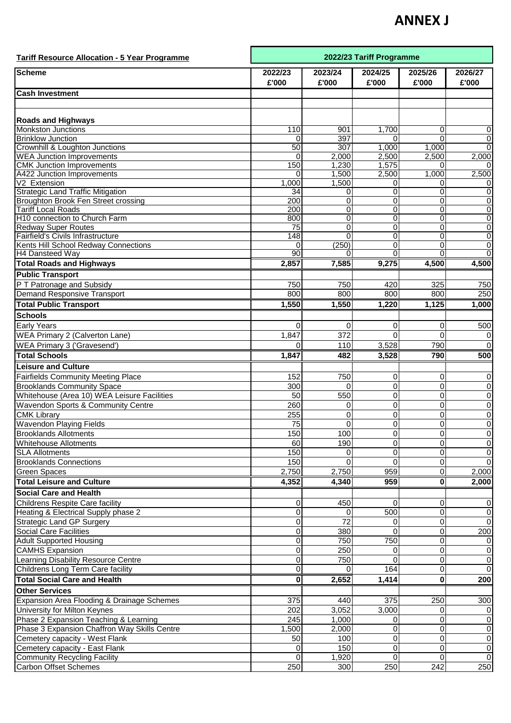## **ANNEX J**

| <b>Tariff Resource Allocation - 5 Year Programme</b>                             |                             | 2022/23 Tariff Programme |                  |                      |                              |  |
|----------------------------------------------------------------------------------|-----------------------------|--------------------------|------------------|----------------------|------------------------------|--|
| <b>Scheme</b>                                                                    | 2022/23<br>£'000            | 2023/24<br>£'000         | 2024/25<br>£'000 | 2025/26<br>£'000     | 2026/27<br>£'000             |  |
| <b>Cash Investment</b>                                                           |                             |                          |                  |                      |                              |  |
|                                                                                  |                             |                          |                  |                      |                              |  |
| <b>Roads and Highways</b>                                                        |                             |                          |                  |                      |                              |  |
| <b>Monkston Junctions</b>                                                        | 110                         | 901                      | 1,700            | 0                    | 0                            |  |
| <b>Brinklow Junction</b>                                                         | 0                           | 397                      | 0                | $\Omega$             | $\Omega$                     |  |
| Crownhill & Loughton Junctions<br><b>WEA Junction Improvements</b>               | $\overline{50}$<br>$\Omega$ | 307<br>2,000             | 1,000<br>2,500   | 1,000<br>2,500       | $\Omega$<br>2,000            |  |
| <b>CMK Junction Improvements</b>                                                 | 150                         | 1,230                    | 1,575            | $\Omega$             |                              |  |
| A422 Junction Improvements                                                       | O                           | 1,500                    | 2,500            | 1,000                | 2,500                        |  |
| V2 Extension                                                                     | 1,000                       | 1,500                    | 0                | 0                    | 0                            |  |
| <b>Strategic Land Traffic Mitigation</b>                                         | 34                          | 0                        | $\mathbf 0$      | $\Omega$             | 0                            |  |
| Broughton Brook Fen Street crossing<br><b>Tariff Local Roads</b>                 | 200<br>200                  | 0<br>0                   | 0<br>0           | 0<br>0               | 0<br>$\mathbf 0$             |  |
| H10 connection to Church Farm                                                    | 800                         | 0                        | $\overline{0}$   | $\mathbf 0$          | 0                            |  |
| <b>Redway Super Routes</b>                                                       | 75                          | 0                        | $\mathbf 0$      | $\mathbf 0$          | $\mathsf 0$                  |  |
| Fairfield's Civils Infrastructure                                                | 148                         | $\Omega$                 | $\mathbf 0$      | $\Omega$             | $\mathbf 0$                  |  |
| Kents Hill School Redway Connections<br>H4 Dansteed Way                          | 0<br>90                     | (250)<br>0               | $\mathbf 0$<br>0 | $\Omega$<br>$\Omega$ | 0<br>$\Omega$                |  |
| <b>Total Roads and Highways</b>                                                  | 2,857                       | 7,585                    | 9,275            | 4,500                | 4,500                        |  |
| <b>Public Transport</b>                                                          |                             |                          |                  |                      |                              |  |
| P T Patronage and Subsidy                                                        | 750                         | 750                      | 420              | 325                  | 750                          |  |
| Demand Responsive Transport                                                      | 800                         | 800                      | 800              | 800                  | 250                          |  |
| <b>Total Public Transport</b>                                                    | 1,550                       | 1,550                    | 1,220            | 1,125                | 1,000                        |  |
| <b>Schools</b>                                                                   |                             |                          |                  |                      |                              |  |
| Early Years                                                                      | $\Omega$                    | 0                        | 0                | 0                    | 500                          |  |
| <b>WEA Primary 2 (Calverton Lane)</b>                                            | 1,847                       | 372                      | $\Omega$         | $\Omega$             | $\mathbf{0}$                 |  |
| <b>WEA Primary 3 ('Gravesend')</b>                                               | $\Omega$                    | 110                      | 3,528            | 790                  | $\Omega$                     |  |
| <b>Total Schools</b>                                                             | 1,847                       | 482                      | 3,528            | 790                  | 500                          |  |
| <b>Leisure and Culture</b>                                                       |                             |                          |                  |                      |                              |  |
| <b>Fairfields Community Meeting Place</b>                                        | 152                         | 750                      | 0                | 0                    | 0                            |  |
| <b>Brooklands Community Space</b><br>Whitehouse (Area 10) WEA Leisure Facilities | 300<br>50                   | $\Omega$<br>550          | 0<br>0           | $\mathbf 0$<br>0     | 0<br>$\mathbf 0$             |  |
| Wavendon Sports & Community Centre                                               | 260                         | 0                        | $\mathbf 0$      | $\mathbf 0$          | $\mathbf 0$                  |  |
| <b>CMK Library</b>                                                               | 255                         | 0                        | 0                | $\mathbf 0$          | 0                            |  |
| <b>Wavendon Playing Fields</b>                                                   | 75                          | 0                        | 0                | $\mathbf 0$          | $\mathbf 0$                  |  |
| <b>Brooklands Allotments</b>                                                     | 150                         | 100                      | 0                | $\overline{0}$       | 0                            |  |
| <b>Whitehouse Allotments</b>                                                     | 60                          | 190                      | 0                | $\Omega$             | 0                            |  |
| <b>SLA Allotments</b>                                                            | 150                         |                          | 0                | 0                    | 0                            |  |
| <b>Brooklands Connections</b><br>Green Spaces                                    | 150<br>2,750                | $\Omega$<br>2,750        | 0<br>959         | 0<br>$\overline{0}$  | $\Omega$<br>2,000            |  |
| <b>Total Leisure and Culture</b>                                                 | 4,352                       | 4,340                    | 959              | 0                    | 2,000                        |  |
| <b>Social Care and Health</b>                                                    |                             |                          |                  |                      |                              |  |
| Childrens Respite Care facility                                                  | 0                           | 450                      | 0                | 0                    | $\mathbf 0$                  |  |
| Heating & Electrical Supply phase 2                                              | 0                           | $\Omega$                 | 500              | $\mathbf 0$          | $\mathbf 0$                  |  |
| <b>Strategic Land GP Surgery</b>                                                 | 0                           | 72                       | 0                | $\Omega$             | $\Omega$                     |  |
| <b>Social Care Facilities</b>                                                    | 0                           | 380                      | $\Omega$         | $\Omega$             | 200                          |  |
| <b>Adult Supported Housing</b>                                                   | $\mathsf{O}\xspace$         | 750                      | 750              | 0                    | 0                            |  |
| <b>CAMHS Expansion</b>                                                           | $\pmb{0}$                   | 250<br>750               | 0                | 0                    | $\mathbf 0$                  |  |
| Learning Disability Resource Centre<br>Childrens Long Term Care facility         | 0<br>$\mathbf 0$            | 0                        | 0<br>164         | 0<br>0               | $\boldsymbol{0}$<br>$\Omega$ |  |
| <b>Total Social Care and Health</b>                                              | $\mathbf 0$                 | 2,652                    | 1,414            | $\mathbf 0$          | 200                          |  |
| <b>Other Services</b>                                                            |                             |                          |                  |                      |                              |  |
| Expansion Area Flooding & Drainage Schemes                                       | 375                         | 440                      | 375              | 250                  | 300                          |  |
| University for Milton Keynes                                                     | 202                         | 3,052                    | 3,000            | 0                    |                              |  |
| Phase 2 Expansion Teaching & Learning                                            | 245                         | 1,000                    |                  | $\Omega$             | 0                            |  |
| Phase 3 Expansion Chaffron Way Skills Centre                                     | 1,500                       | 2,000                    | 0                | $\mathbf 0$          | $\overline{0}$               |  |
| Cemetery capacity - West Flank                                                   | 50                          | 100                      | 0                | 0                    | $\pmb{0}$                    |  |
| Cemetery capacity - East Flank<br><b>Community Recycling Facility</b>            | 0<br>$\Omega$               | 150<br>1,920             | 0<br>$\Omega$    | 0<br>$\Omega$        | $\mathbf 0$<br>$\Omega$      |  |
| <b>Carbon Offset Schemes</b>                                                     | 250                         | 300                      | 250              | 242                  | 250                          |  |
|                                                                                  |                             |                          |                  |                      |                              |  |